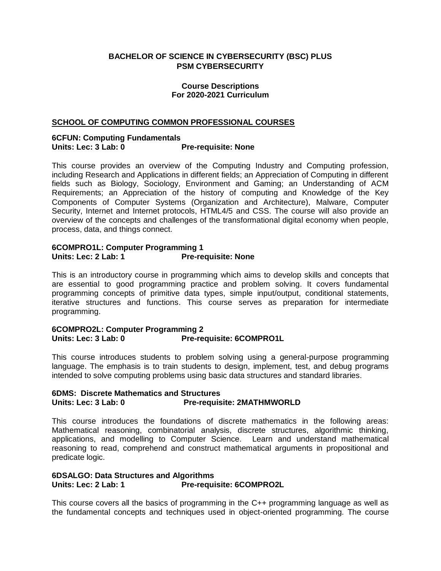#### **BACHELOR OF SCIENCE IN CYBERSECURITY (BSC) PLUS PSM CYBERSECURITY**

#### **Course Descriptions For 2020-2021 Curriculum**

#### **SCHOOL OF COMPUTING COMMON PROFESSIONAL COURSES**

#### **6CFUN: Computing Fundamentals Pre-requisite: None**

This course provides an overview of the Computing Industry and Computing profession, including Research and Applications in different fields; an Appreciation of Computing in different fields such as Biology, Sociology, Environment and Gaming; an Understanding of ACM Requirements; an Appreciation of the history of computing and Knowledge of the Key Components of Computer Systems (Organization and Architecture), Malware, Computer Security, Internet and Internet protocols, HTML4/5 and CSS. The course will also provide an overview of the concepts and challenges of the transformational digital economy when people, process, data, and things connect.

#### **6COMPRO1L: Computer Programming 1** Units: Lec: 2 Lab: 1 Pre-requisite: None

This is an introductory course in programming which aims to develop skills and concepts that are essential to good programming practice and problem solving. It covers fundamental programming concepts of primitive data types, simple input/output, conditional statements, iterative structures and functions. This course serves as preparation for intermediate programming.

#### **6COMPRO2L: Computer Programming 2 Pre-requisite: 6COMPRO1L**

This course introduces students to problem solving using a general-purpose programming language. The emphasis is to train students to design, implement, test, and debug programs intended to solve computing problems using basic data structures and standard libraries.

#### **6DMS: Discrete Mathematics and Structures Units: Lec: 3 Lab: 0 Pre-requisite: 2MATHMWORLD**

This course introduces the foundations of discrete mathematics in the following areas: Mathematical reasoning, combinatorial analysis, discrete structures, algorithmic thinking, applications, and modelling to Computer Science. Learn and understand mathematical reasoning to read, comprehend and construct mathematical arguments in propositional and predicate logic.

#### **6DSALGO: Data Structures and Algorithms Pre-requisite: 6COMPRO2L**

This course covers all the basics of programming in the C++ programming language as well as the fundamental concepts and techniques used in object-oriented programming. The course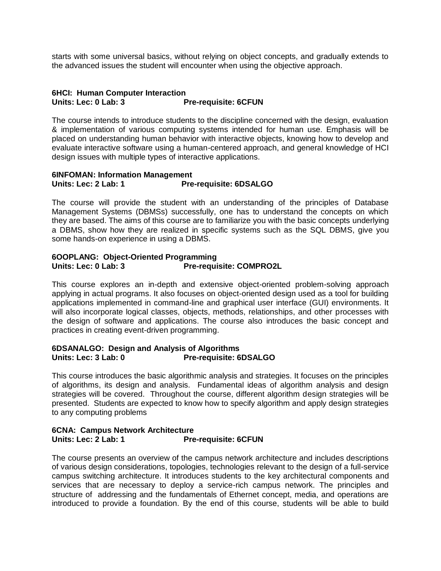starts with some universal basics, without relying on object concepts, and gradually extends to the advanced issues the student will encounter when using the objective approach.

#### **6HCI: Human Computer Interaction Units: Lec: 0 Lab: 3 Pre-requisite: 6CFUN**

The course intends to introduce students to the discipline concerned with the design, evaluation & implementation of various computing systems intended for human use. Emphasis will be placed on understanding human behavior with interactive objects, knowing how to develop and evaluate interactive software using a human-centered approach, and general knowledge of HCI design issues with multiple types of interactive applications.

#### **6INFOMAN: Information Management Units: Lec: 2 Lab: 1 Pre-requisite: 6DSALGO**

The course will provide the student with an understanding of the principles of Database Management Systems (DBMSs) successfully, one has to understand the concepts on which they are based. The aims of this course are to familiarize you with the basic concepts underlying a DBMS, show how they are realized in specific systems such as the SQL DBMS, give you some hands-on experience in using a DBMS.

#### **6OOPLANG: Object-Oriented Programming Pre-requisite: COMPRO2L**

This course explores an in-depth and extensive object-oriented problem-solving approach applying in actual programs. It also focuses on object-oriented design used as a tool for building applications implemented in command-line and graphical user interface (GUI) environments. It will also incorporate logical classes, objects, methods, relationships, and other processes with the design of software and applications. The course also introduces the basic concept and practices in creating event-driven programming.

#### **6DSANALGO: Design and Analysis of Algorithms** Units: Lec: 3 Lab: 0 Pre-requisite: 6DSALGO

This course introduces the basic algorithmic analysis and strategies. It focuses on the principles of algorithms, its design and analysis. Fundamental ideas of algorithm analysis and design strategies will be covered. Throughout the course, different algorithm design strategies will be presented. Students are expected to know how to specify algorithm and apply design strategies to any computing problems

#### **6CNA: Campus Network Architecture Units: Lec: 2 Lab: 1 Pre-requisite: 6CFUN**

The course presents an overview of the campus network architecture and includes descriptions of various design considerations, topologies, technologies relevant to the design of a full-service campus switching architecture. It introduces students to the key architectural components and services that are necessary to deploy a service-rich campus network. The principles and structure of addressing and the fundamentals of Ethernet concept, media, and operations are introduced to provide a foundation. By the end of this course, students will be able to build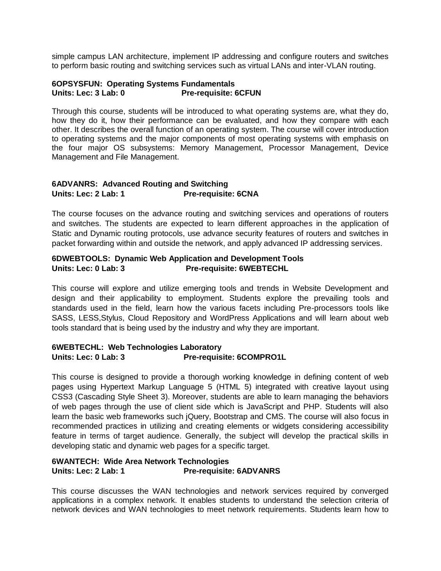simple campus LAN architecture, implement IP addressing and configure routers and switches to perform basic routing and switching services such as virtual LANs and inter-VLAN routing.

#### **6OPSYSFUN: Operating Systems Fundamentals Units: Lec: 3 Lab: 0 Pre-requisite: 6CFUN**

Through this course, students will be introduced to what operating systems are, what they do, how they do it, how their performance can be evaluated, and how they compare with each other. It describes the overall function of an operating system. The course will cover introduction to operating systems and the major components of most operating systems with emphasis on the four major OS subsystems: Memory Management, Processor Management, Device Management and File Management.

#### **6ADVANRS: Advanced Routing and Switching Units: Lec: 2 Lab: 1 Pre-requisite: 6CNA**

The course focuses on the advance routing and switching services and operations of routers and switches. The students are expected to learn different approaches in the application of Static and Dynamic routing protocols, use advance security features of routers and switches in packet forwarding within and outside the network, and apply advanced IP addressing services.

#### **6DWEBTOOLS: Dynamic Web Application and Development Tools Units: Lec: 0 Lab: 3 Pre-requisite: 6WEBTECHL**

This course will explore and utilize emerging tools and trends in Website Development and design and their applicability to employment. Students explore the prevailing tools and standards used in the field, learn how the various facets including Pre-processors tools like SASS, LESS,Stylus, Cloud Repository and WordPress Applications and will learn about web tools standard that is being used by the industry and why they are important.

#### **6WEBTECHL: Web Technologies Laboratory Units: Lec: 0 Lab: 3 Pre-requisite: 6COMPRO1L**

This course is designed to provide a thorough working knowledge in defining content of web pages using Hypertext Markup Language 5 (HTML 5) integrated with creative layout using CSS3 (Cascading Style Sheet 3). Moreover, students are able to learn managing the behaviors of web pages through the use of client side which is JavaScript and PHP. Students will also learn the basic web frameworks such jQuery, Bootstrap and CMS. The course will also focus in recommended practices in utilizing and creating elements or widgets considering accessibility feature in terms of target audience. Generally, the subject will develop the practical skills in developing static and dynamic web pages for a specific target.

#### **6WANTECH: Wide Area Network Technologies Pre-requisite: 6ADVANRS**

This course discusses the WAN technologies and network services required by converged applications in a complex network. It enables students to understand the selection criteria of network devices and WAN technologies to meet network requirements. Students learn how to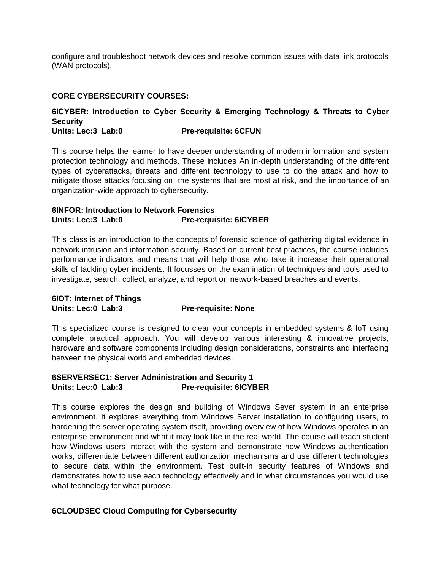configure and troubleshoot network devices and resolve common issues with data link protocols (WAN protocols).

#### **CORE CYBERSECURITY COURSES:**

## **6ICYBER: Introduction to Cyber Security & Emerging Technology & Threats to Cyber Security**

#### **Units: Lec:3 Lab:0 Pre-requisite: 6CFUN**

This course helps the learner to have deeper understanding of modern information and system protection technology and methods. These includes An in-depth understanding of the different types of cyberattacks, threats and different technology to use to do the attack and how to mitigate those attacks focusing on the systems that are most at risk, and the importance of an organization-wide approach to cybersecurity.

#### **6INFOR: Introduction to Network Forensics Units: Lec:3 Lab:0 Pre-requisite: 6ICYBER**

This class is an introduction to the concepts of forensic science of gathering digital evidence in network intrusion and information security. Based on current best practices, the course includes performance indicators and means that will help those who take it increase their operational skills of tackling cyber incidents. It focusses on the examination of techniques and tools used to investigate, search, collect, analyze, and report on network-based breaches and events.

### **6IOT: Internet of Things Units: Lec:0 Lab:3 Pre-requisite: None**

This specialized course is designed to clear your concepts in embedded systems & IoT using complete practical approach. You will develop various interesting & innovative projects, hardware and software components including design considerations, constraints and interfacing between the physical world and embedded devices.

#### **6SERVERSEC1: Server Administration and Security 1 Units: Lec:0 Lab:3 Pre-requisite: 6ICYBER**

This course explores the design and building of Windows Sever system in an enterprise environment. It explores everything from Windows Server installation to configuring users, to hardening the server operating system itself, providing overview of how Windows operates in an enterprise environment and what it may look like in the real world. The course will teach student how Windows users interact with the system and demonstrate how Windows authentication works, differentiate between different authorization mechanisms and use different technologies to secure data within the environment. Test built-in security features of Windows and demonstrates how to use each technology effectively and in what circumstances you would use what technology for what purpose.

#### **6CLOUDSEC Cloud Computing for Cybersecurity**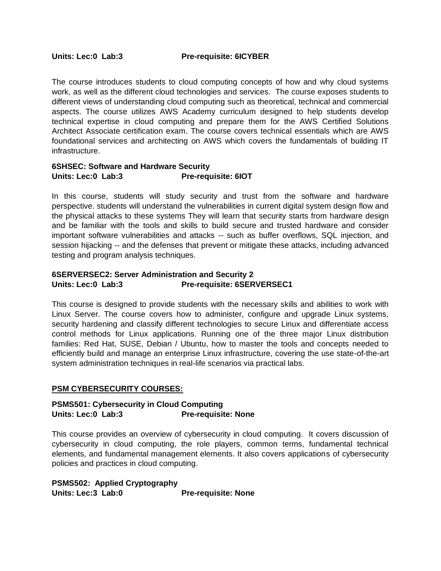The course introduces students to cloud computing concepts of how and why cloud systems work, as well as the different cloud technologies and services. The course exposes students to different views of understanding cloud computing such as theoretical, technical and commercial aspects. The course utilizes AWS Academy curriculum designed to help students develop technical expertise in cloud computing and prepare them for the AWS Certified Solutions Architect Associate certification exam. The course covers technical essentials which are AWS foundational services and architecting on AWS which covers the fundamentals of building IT infrastructure.

#### **6SHSEC: Software and Hardware Security Units: Lec:0 Lab:3 Pre-requisite: 6IOT**

In this course, students will study security and trust from the software and hardware perspective. students will understand the vulnerabilities in current digital system design flow and the physical attacks to these systems They will learn that security starts from hardware design and be familiar with the tools and skills to build secure and trusted hardware and consider important software vulnerabilities and attacks -- such as buffer overflows, SQL injection, and session hijacking -- and the defenses that prevent or mitigate these attacks, including advanced testing and program analysis techniques.

#### **6SERVERSEC2: Server Administration and Security 2 Units: Lec:0 Lab:3 Pre-requisite: 6SERVERSEC1**

This course is designed to provide students with the necessary skills and abilities to work with Linux Server. The course covers how to administer, configure and upgrade Linux systems, security hardening and classify different technologies to secure Linux and differentiate access control methods for Linux applications. Running one of the three major Linux distribution families: Red Hat, SUSE, Debian / Ubuntu, how to master the tools and concepts needed to efficiently build and manage an enterprise Linux infrastructure, covering the use state-of-the-art system administration techniques in real-life scenarios via practical labs.

#### **PSM CYBERSECURITY COURSES:**

#### **PSMS501: Cybersecurity in Cloud Computing Units: Lec:0 Lab:3 Pre-requisite: None**

This course provides an overview of cybersecurity in cloud computing. It covers discussion of cybersecurity in cloud computing, the role players, common terms, fundamental technical elements, and fundamental management elements. It also covers applications of cybersecurity policies and practices in cloud computing.

**PSMS502: Applied Cryptography Units: Lec:3 Lab:0 Pre-requisite: None**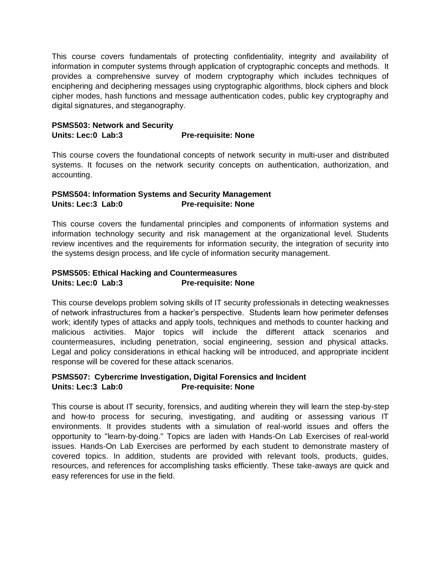This course covers fundamentals of protecting confidentiality, integrity and availability of information in computer systems through application of cryptographic concepts and methods. It provides a comprehensive survey of modern cryptography which includes techniques of enciphering and deciphering messages using cryptographic algorithms, block ciphers and block cipher modes, hash functions and message authentication codes, public key cryptography and digital signatures, and steganography.

#### **PSMS503: Network and Security Units: Lec:0 Lab:3 Pre-requisite: None**

This course covers the foundational concepts of network security in multi-user and distributed systems. It focuses on the network security concepts on authentication, authorization, and accounting.

#### **PSMS504: Information Systems and Security Management Units: Lec:3 Lab:0 Pre-requisite: None**

This course covers the fundamental principles and components of information systems and information technology security and risk management at the organizational level. Students review incentives and the requirements for information security, the integration of security into the systems design process, and life cycle of information security management.

#### **PSMS505: Ethical Hacking and Countermeasures Units: Lec:0 Lab:3 Pre-requisite: None**

This course develops problem solving skills of IT security professionals in detecting weaknesses of network infrastructures from a hacker's perspective. Students learn how perimeter defenses work; identify types of attacks and apply tools, techniques and methods to counter hacking and malicious activities. Major topics will include the different attack scenarios and countermeasures, including penetration, social engineering, session and physical attacks. Legal and policy considerations in ethical hacking will be introduced, and appropriate incident response will be covered for these attack scenarios.

#### **PSMS507: Cybercrime Investigation, Digital Forensics and Incident Units: Lec:3 Lab:0 Pre-requisite: None**

This course is about IT security, forensics, and auditing wherein they will learn the step-by-step and how-to process for securing, investigating, and auditing or assessing various IT environments. It provides students with a simulation of real-world issues and offers the opportunity to "learn-by-doing." Topics are laden with Hands-On Lab Exercises of real-world issues. Hands-On Lab Exercises are performed by each student to demonstrate mastery of covered topics. In addition, students are provided with relevant tools, products, guides, resources, and references for accomplishing tasks efficiently. These take-aways are quick and easy references for use in the field.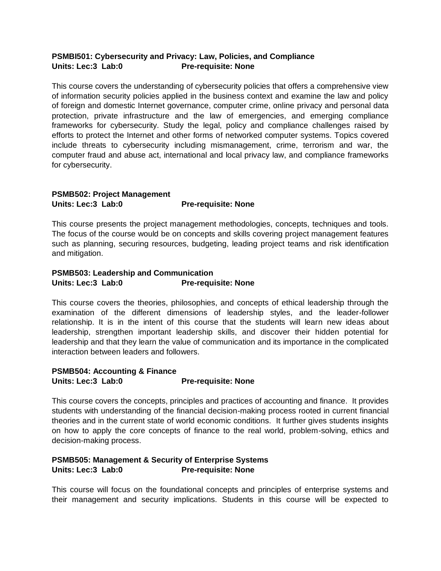#### **PSMBI501: Cybersecurity and Privacy: Law, Policies, and Compliance Units: Lec:3 Lab:0 Pre-requisite: None**

This course covers the understanding of cybersecurity policies that offers a comprehensive view of information security policies applied in the business context and examine the law and policy of foreign and domestic Internet governance, computer crime, online privacy and personal data protection, private infrastructure and the law of emergencies, and emerging compliance frameworks for cybersecurity. Study the legal, policy and compliance challenges raised by efforts to protect the Internet and other forms of networked computer systems. Topics covered include threats to cybersecurity including mismanagement, crime, terrorism and war, the computer fraud and abuse act, international and local privacy law, and compliance frameworks for cybersecurity.

#### **PSMB502: Project Management Units: Lec:3 Lab:0 Pre-requisite: None**

This course presents the project management methodologies, concepts, techniques and tools. The focus of the course would be on concepts and skills covering project management features such as planning, securing resources, budgeting, leading project teams and risk identification and mitigation.

#### **PSMB503: Leadership and Communication Units: Lec:3 Lab:0 Pre-requisite: None**

This course covers the theories, philosophies, and concepts of ethical leadership through the examination of the different dimensions of leadership styles, and the leader-follower relationship. It is in the intent of this course that the students will learn new ideas about leadership, strengthen important leadership skills, and discover their hidden potential for leadership and that they learn the value of communication and its importance in the complicated interaction between leaders and followers.

#### **PSMB504: Accounting & Finance Units: Lec:3 Lab:0 Pre-requisite: None**

This course covers the concepts, principles and practices of accounting and finance. It provides students with understanding of the financial decision-making process rooted in current financial theories and in the current state of world economic conditions. It further gives students insights on how to apply the core concepts of finance to the real world, problem-solving, ethics and decision-making process.

#### **PSMB505: Management & Security of Enterprise Systems Units: Lec:3 Lab:0 Pre-requisite: None**

This course will focus on the foundational concepts and principles of enterprise systems and their management and security implications. Students in this course will be expected to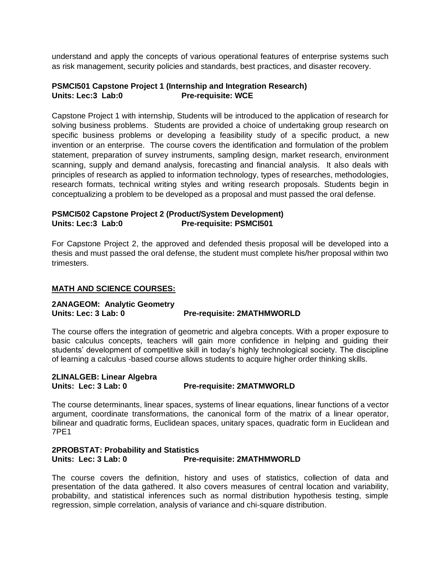understand and apply the concepts of various operational features of enterprise systems such as risk management, security policies and standards, best practices, and disaster recovery.

#### **PSMCI501 Capstone Project 1 (Internship and Integration Research) Units: Lec:3 Lab:0 Pre-requisite: WCE**

Capstone Project 1 with internship, Students will be introduced to the application of research for solving business problems. Students are provided a choice of undertaking group research on specific business problems or developing a feasibility study of a specific product, a new invention or an enterprise. The course covers the identification and formulation of the problem statement, preparation of survey instruments, sampling design, market research, environment scanning, supply and demand analysis, forecasting and financial analysis. It also deals with principles of research as applied to information technology, types of researches, methodologies, research formats, technical writing styles and writing research proposals. Students begin in conceptualizing a problem to be developed as a proposal and must passed the oral defense.

#### **PSMCI502 Capstone Project 2 (Product/System Development) Units: Lec:3 Lab:0 Pre-requisite: PSMCI501**

For Capstone Project 2, the approved and defended thesis proposal will be developed into a thesis and must passed the oral defense, the student must complete his/her proposal within two trimesters.

#### **MATH AND SCIENCE COURSES:**

#### **2ANAGEOM: Analytic Geometry Pre-requisite: 2MATHMWORLD**

The course offers the integration of geometric and algebra concepts. With a proper exposure to basic calculus concepts, teachers will gain more confidence in helping and guiding their students' development of competitive skill in today's highly technological society. The discipline of learning a calculus -based course allows students to acquire higher order thinking skills.

#### **2LINALGEB: Linear Algebra Units: Lec: 3 Lab: 0 Pre-requisite: 2MATMWORLD**

The course determinants, linear spaces, systems of linear equations, linear functions of a vector argument, coordinate transformations, the canonical form of the matrix of a linear operator, bilinear and quadratic forms, Euclidean spaces, unitary spaces, quadratic form in Euclidean and 7PE1

#### **2PROBSTAT: Probability and Statistics Units: Lec: 3 Lab: 0 Pre-requisite: 2MATHMWORLD**

The course covers the definition, history and uses of statistics, collection of data and presentation of the data gathered. It also covers measures of central location and variability, probability, and statistical inferences such as normal distribution hypothesis testing, simple regression, simple correlation, analysis of variance and chi-square distribution.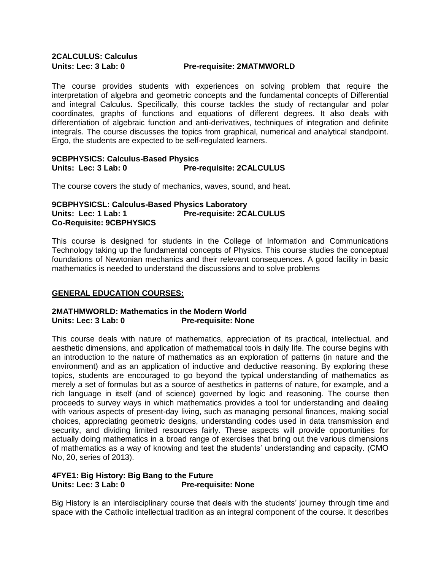# **2CALCULUS: Calculus**

#### **Units: Lec: 3 Lab: 0 Pre-requisite: 2MATMWORLD**

The course provides students with experiences on solving problem that require the interpretation of algebra and geometric concepts and the fundamental concepts of Differential and integral Calculus. Specifically, this course tackles the study of rectangular and polar coordinates, graphs of functions and equations of different degrees. It also deals with differentiation of algebraic function and anti-derivatives, techniques of integration and definite integrals. The course discusses the topics from graphical, numerical and analytical standpoint. Ergo, the students are expected to be self-regulated learners.

#### **9CBPHYSICS: Calculus-Based Physics Units: Lec: 3 Lab: 0 Pre-requisite: 2CALCULUS**

The course covers the study of mechanics, waves, sound, and heat.

#### **9CBPHYSICSL: Calculus-Based Physics Laboratory Units: Lec: 1 Lab: 1 Pre-requisite: 2CALCULUS Co-Requisite: 9CBPHYSICS**

This course is designed for students in the College of Information and Communications Technology taking up the fundamental concepts of Physics. This course studies the conceptual foundations of Newtonian mechanics and their relevant consequences. A good facility in basic mathematics is needed to understand the discussions and to solve problems

#### **GENERAL EDUCATION COURSES:**

#### **2MATHMWORLD: Mathematics in the Modern World Units: Lec: 3 Lab: 0 Pre-requisite: None**

This course deals with nature of mathematics, appreciation of its practical, intellectual, and aesthetic dimensions, and application of mathematical tools in daily life. The course begins with an introduction to the nature of mathematics as an exploration of patterns (in nature and the environment) and as an application of inductive and deductive reasoning. By exploring these topics, students are encouraged to go beyond the typical understanding of mathematics as merely a set of formulas but as a source of aesthetics in patterns of nature, for example, and a rich language in itself (and of science) governed by logic and reasoning. The course then proceeds to survey ways in which mathematics provides a tool for understanding and dealing with various aspects of present-day living, such as managing personal finances, making social choices, appreciating geometric designs, understanding codes used in data transmission and security, and dividing limited resources fairly. These aspects will provide opportunities for actually doing mathematics in a broad range of exercises that bring out the various dimensions of mathematics as a way of knowing and test the students' understanding and capacity. (CMO No, 20, series of 2013).

#### **4FYE1: Big History: Big Bang to the Future Units: Lec: 3 Lab: 0 Pre-requisite: None**

Big History is an interdisciplinary course that deals with the students' journey through time and space with the Catholic intellectual tradition as an integral component of the course. It describes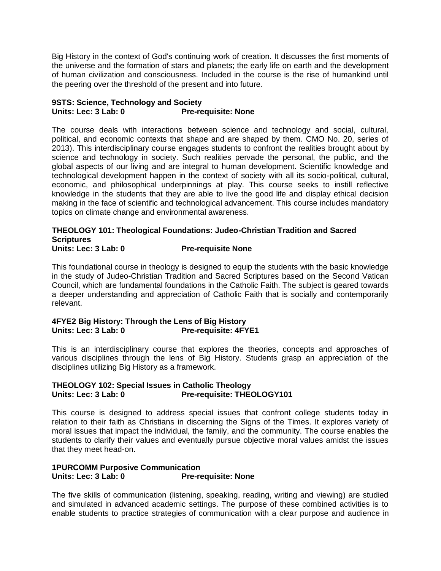Big History in the context of God's continuing work of creation. It discusses the first moments of the universe and the formation of stars and planets; the early life on earth and the development of human civilization and consciousness. Included in the course is the rise of humankind until the peering over the threshold of the present and into future.

#### **9STS: Science, Technology and Society Units: Lec: 3 Lab: 0 Pre-requisite: None**

The course deals with interactions between science and technology and social, cultural, political, and economic contexts that shape and are shaped by them. CMO No. 20, series of 2013). This interdisciplinary course engages students to confront the realities brought about by science and technology in society. Such realities pervade the personal, the public, and the global aspects of our living and are integral to human development. Scientific knowledge and technological development happen in the context of society with all its socio-political, cultural, economic, and philosophical underpinnings at play. This course seeks to instill reflective knowledge in the students that they are able to live the good life and display ethical decision making in the face of scientific and technological advancement. This course includes mandatory topics on climate change and environmental awareness.

#### **THEOLOGY 101: Theological Foundations: Judeo-Christian Tradition and Sacred Scriptures**  Units: Lec: 3 Lab: 0 Pre-requisite None

This foundational course in theology is designed to equip the students with the basic knowledge in the study of Judeo-Christian Tradition and Sacred Scriptures based on the Second Vatican Council, which are fundamental foundations in the Catholic Faith. The subject is geared towards a deeper understanding and appreciation of Catholic Faith that is socially and contemporarily relevant.

#### **4FYE2 Big History: Through the Lens of Big History Units: Lec: 3 Lab: 0 Pre-requisite: 4FYE1**

This is an interdisciplinary course that explores the theories, concepts and approaches of various disciplines through the lens of Big History. Students grasp an appreciation of the disciplines utilizing Big History as a framework.

#### **THEOLOGY 102: Special Issues in Catholic Theology**  Units: Lec: 3 Lab: 0 Pre-requisite: THEOLOGY101

This course is designed to address special issues that confront college students today in relation to their faith as Christians in discerning the Signs of the Times. It explores variety of moral issues that impact the individual, the family, and the community. The course enables the students to clarify their values and eventually pursue objective moral values amidst the issues that they meet head-on.

#### **1PURCOMM Purposive Communication Units: Lec: 3 Lab: 0 Pre-requisite: None**

The five skills of communication (listening, speaking, reading, writing and viewing) are studied and simulated in advanced academic settings. The purpose of these combined activities is to enable students to practice strategies of communication with a clear purpose and audience in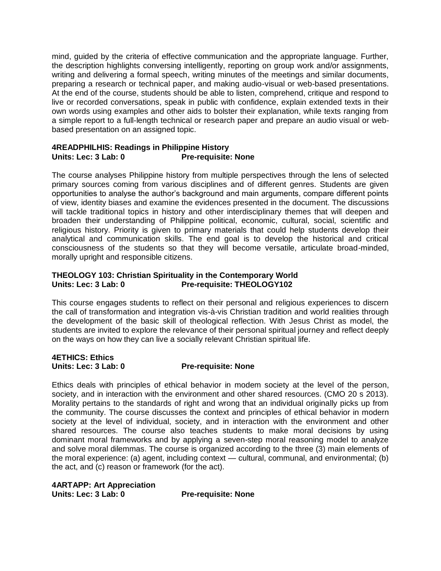mind, guided by the criteria of effective communication and the appropriate language. Further, the description highlights conversing intelligently, reporting on group work and/or assignments, writing and delivering a formal speech, writing minutes of the meetings and similar documents, preparing a research or technical paper, and making audio-visual or web-based presentations. At the end of the course, students should be able to listen, comprehend, critique and respond to live or recorded conversations, speak in public with confidence, explain extended texts in their own words using examples and other aids to bolster their explanation, while texts ranging from a simple report to a full-length technical or research paper and prepare an audio visual or webbased presentation on an assigned topic.

#### **4READPHILHIS: Readings in Philippine History Units: Lec: 3 Lab: 0 Pre-requisite: None**

The course analyses Philippine history from multiple perspectives through the lens of selected primary sources coming from various disciplines and of different genres. Students are given opportunities to analyse the author's background and main arguments, compare different points of view, identity biases and examine the evidences presented in the document. The discussions will tackle traditional topics in history and other interdisciplinary themes that will deepen and broaden their understanding of Philippine political, economic, cultural, social, scientific and religious history. Priority is given to primary materials that could help students develop their analytical and communication skills. The end goal is to develop the historical and critical consciousness of the students so that they will become versatile, articulate broad-minded, morally upright and responsible citizens.

#### **THEOLOGY 103: Christian Spirituality in the Contemporary World**  Units: Lec: 3 Lab: 0 Pre-requisite: THEOLOGY102

This course engages students to reflect on their personal and religious experiences to discern the call of transformation and integration vis-à-vis Christian tradition and world realities through the development of the basic skill of theological reflection. With Jesus Christ as model, the students are invited to explore the relevance of their personal spiritual journey and reflect deeply on the ways on how they can live a socially relevant Christian spiritual life.

#### **4ETHICS: Ethics Units: Lec: 3 Lab: 0 Pre-requisite: None**

Ethics deals with principles of ethical behavior in modem society at the level of the person, society, and in interaction with the environment and other shared resources. (CMO 20 s 2013). Morality pertains to the standards of right and wrong that an individual originally picks up from the community. The course discusses the context and principles of ethical behavior in modern society at the level of individual, society, and in interaction with the environment and other shared resources. The course also teaches students to make moral decisions by using dominant moral frameworks and by applying a seven-step moral reasoning model to analyze and solve moral dilemmas. The course is organized according to the three (3) main elements of the moral experience: (a) agent, including context — cultural, communal, and environmental; (b) the act, and (c) reason or framework (for the act).

**4ARTAPP: Art Appreciation Units: Lec: 3 Lab: 0 Pre-requisite: None**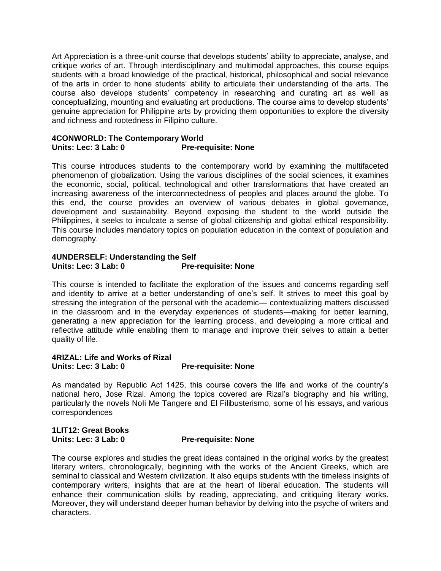Art Appreciation is a three-unit course that develops students' ability to appreciate, analyse, and critique works of art. Through interdisciplinary and multimodal approaches, this course equips students with a broad knowledge of the practical, historical, philosophical and social relevance of the arts in order to hone students' ability to articulate their understanding of the arts. The course also develops students' competency in researching and curating art as well as conceptualizing, mounting and evaluating art productions. The course aims to develop students' genuine appreciation for Philippine arts by providing them opportunities to explore the diversity and richness and rootedness in Filipino culture.

#### **4CONWORLD: The Contemporary World Units: Lec: 3 Lab: 0 Pre-requisite: None**

This course introduces students to the contemporary world by examining the multifaceted phenomenon of globalization. Using the various disciplines of the social sciences, it examines the economic, social, political, technological and other transformations that have created an increasing awareness of the interconnectedness of peoples and places around the globe. To this end, the course provides an overview of various debates in global governance, development and sustainability. Beyond exposing the student to the world outside the Philippines, it seeks to inculcate a sense of global citizenship and global ethical responsibility. This course includes mandatory topics on population education in the context of population and demography.

#### **4UNDERSELF: Understanding the Self Pre-requisite: None**

This course is intended to facilitate the exploration of the issues and concerns regarding self and identity to arrive at a better understanding of one's self. It strives to meet this goal by stressing the integration of the personal with the academic— contextualizing matters discussed in the classroom and in the everyday experiences of students—making for better learning, generating a new appreciation for the learning process, and developing a more critical and reflective attitude while enabling them to manage and improve their selves to attain a better quality of life.

#### **4RIZAL: Life and Works of Rizal Units: Lec: 3 Lab: 0 Pre-requisite: None**

As mandated by Republic Act 1425, this course covers the life and works of the country's national hero, Jose Rizal. Among the topics covered are Rizal's biography and his writing, particularly the novels Noli Me Tangere and El Filibusterismo, some of his essays, and various correspondences

#### **1LIT12: Great Books Units: Lec: 3 Lab: 0 Pre-requisite: None**

The course explores and studies the great ideas contained in the original works by the greatest literary writers, chronologically, beginning with the works of the Ancient Greeks, which are seminal to classical and Western civilization. It also equips students with the timeless insights of contemporary writers, insights that are at the heart of liberal education. The students will enhance their communication skills by reading, appreciating, and critiquing literary works. Moreover, they will understand deeper human behavior by delving into the psyche of writers and characters.